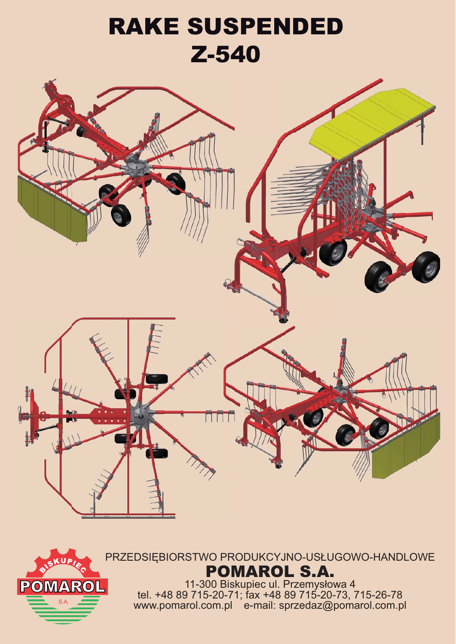## RAKE SUSPENDED Z-540



PRZEDSIĘBIORSTWO PRODUKCYJNO-USŁUGOWO-HANDLOWE POMAROL S.A.

**POMARO** 

11-300 Biskupiec ul. Przemysłowa 4 tel. +48 89 715-20-71; fax +48 89 715-20-73, 715-26-78 s.a. www.pomarol.com.pl e-mail: sprzedaz@pomarol.com.pl